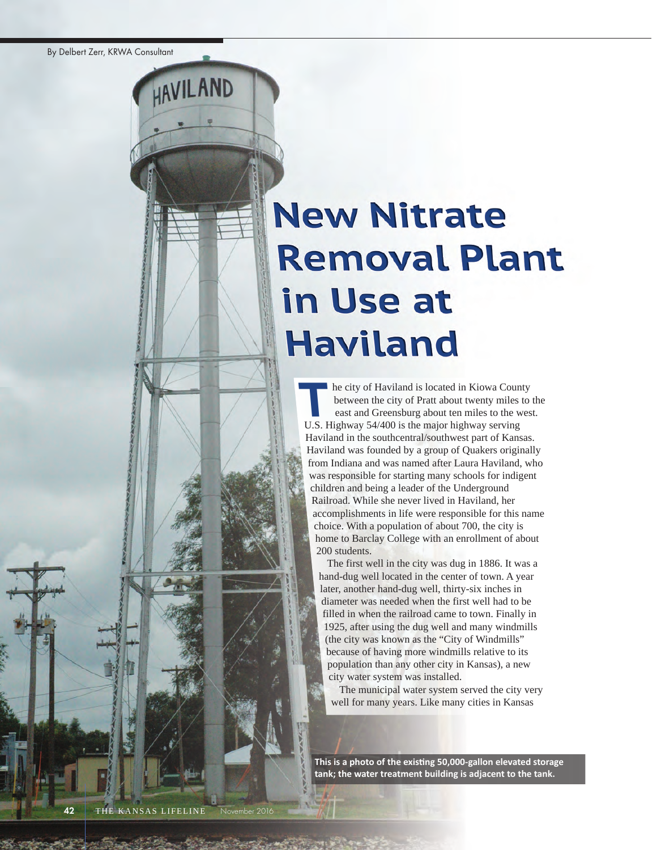HAVILAND

# **New Nitrate Removal Plant** in Use at **Haviland**

he city of Haviland is located in Kiowa County between the city of Pratt about twenty miles to the east and Greensburg about ten miles to the west. U.s. highway 54/400 is the major highway serving Haviland in the southcentral/southwest part of Kansas. haviland was founded by a group of Quakers originally from Indiana and was named after Laura Haviland, who was responsible for starting many schools for indigent children and being a leader of the Underground Railroad. While she never lived in Haviland, her accomplishments in life were responsible for this name choice. With a population of about 700, the city is home to Barclay College with an enrollment of about 200 students. **T**

The first well in the city was dug in 1886. It was a hand-dug well located in the center of town. A year later, another hand-dug well, thirty-six inches in diameter was needed when the first well had to be filled in when the railroad came to town. finally in 1925, after using the dug well and many windmills (the city was known as the "City of Windmills" because of having more windmills relative to its population than any other city in Kansas), a new city water system was installed.

The municipal water system served the city very well for many years. Like many cities in Kansas

**This is a photo of the existing 50,000-gallon elevated storage tank; the water treatment building is adjacent to the tank.**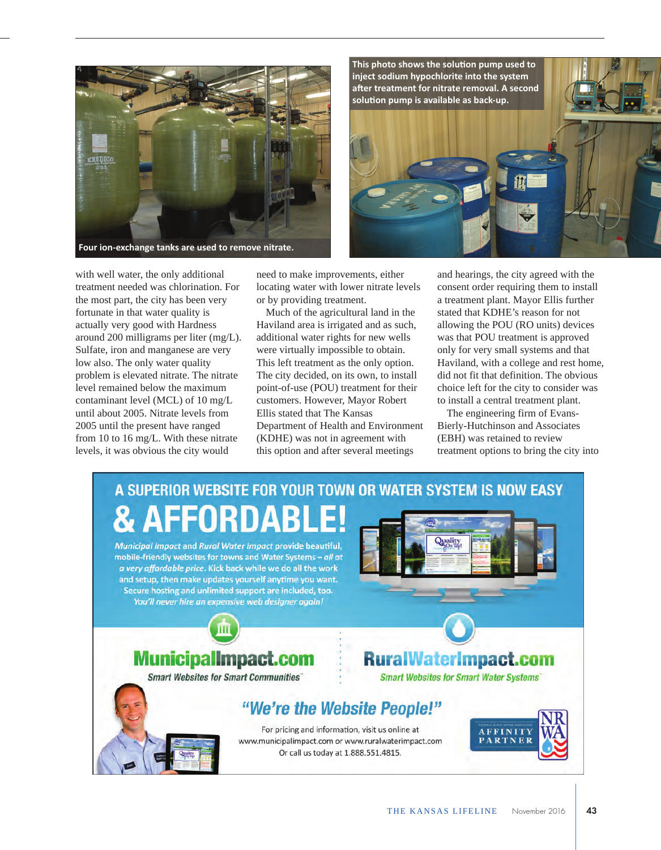



with well water, the only additional treatment needed was chlorination. for the most part, the city has been very fortunate in that water quality is actually very good with hardness around 200 milligrams per liter (mg/L). Sulfate, iron and manganese are very low also. The only water quality problem is elevated nitrate. The nitrate level remained below the maximum contaminant level (MCL) of 10 mg/L until about 2005. Nitrate levels from 2005 until the present have ranged from 10 to 16 mg/L. With these nitrate levels, it was obvious the city would

need to make improvements, either locating water with lower nitrate levels or by providing treatment.

Much of the agricultural land in the haviland area is irrigated and as such, additional water rights for new wells were virtually impossible to obtain. This left treatment as the only option. The city decided, on its own, to install point-of-use (POU) treatment for their customers. however, Mayor Robert ellis stated that The Kansas Department of Health and Environment (KDHE) was not in agreement with this option and after several meetings

and hearings, the city agreed with the consent order requiring them to install a treatment plant. Mayor Ellis further stated that KDHE's reason for not allowing the POU (RO units) devices was that POU treatment is approved only for very small systems and that haviland, with a college and rest home, did not fit that definition. The obvious choice left for the city to consider was to install a central treatment plant.

The engineering firm of Evans-Bierly-Hutchinson and Associates (EBH) was retained to review treatment options to bring the city into

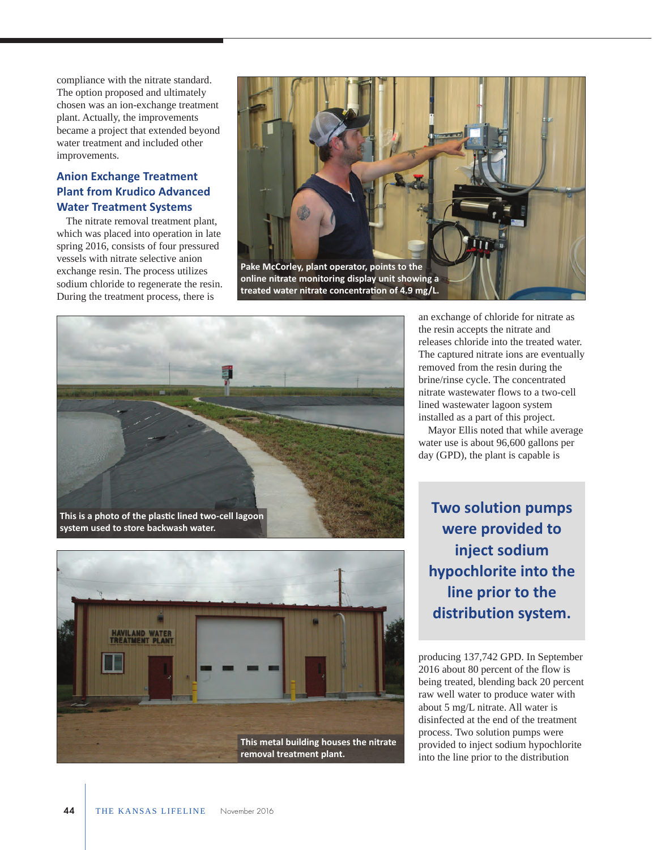compliance with the nitrate standard. The option proposed and ultimately chosen was an ion-exchange treatment plant. Actually, the improvements became a project that extended beyond water treatment and included other improvements.

### **Anion Exchange Treatment Plant from Krudico Advanced Water Treatment Systems**

The nitrate removal treatment plant, which was placed into operation in late spring 2016, consists of four pressured vessels with nitrate selective anion exchange resin. The process utilizes sodium chloride to regenerate the resin. During the treatment process, there is







an exchange of chloride for nitrate as the resin accepts the nitrate and releases chloride into the treated water. The captured nitrate ions are eventually removed from the resin during the brine/rinse cycle. The concentrated nitrate wastewater flows to a two-cell lined wastewater lagoon system installed as a part of this project.

Mayor Ellis noted that while average water use is about 96,600 gallons per day (GPD), the plant is capable is

**Two solution pumps were provided to inject sodium hypochlorite into the line prior to the distribution system.**

producing 137,742 GPD. in september 2016 about 80 percent of the flow is being treated, blending back 20 percent raw well water to produce water with about 5 mg/L nitrate. all water is disinfected at the end of the treatment process. Two solution pumps were provided to inject sodium hypochlorite into the line prior to the distribution